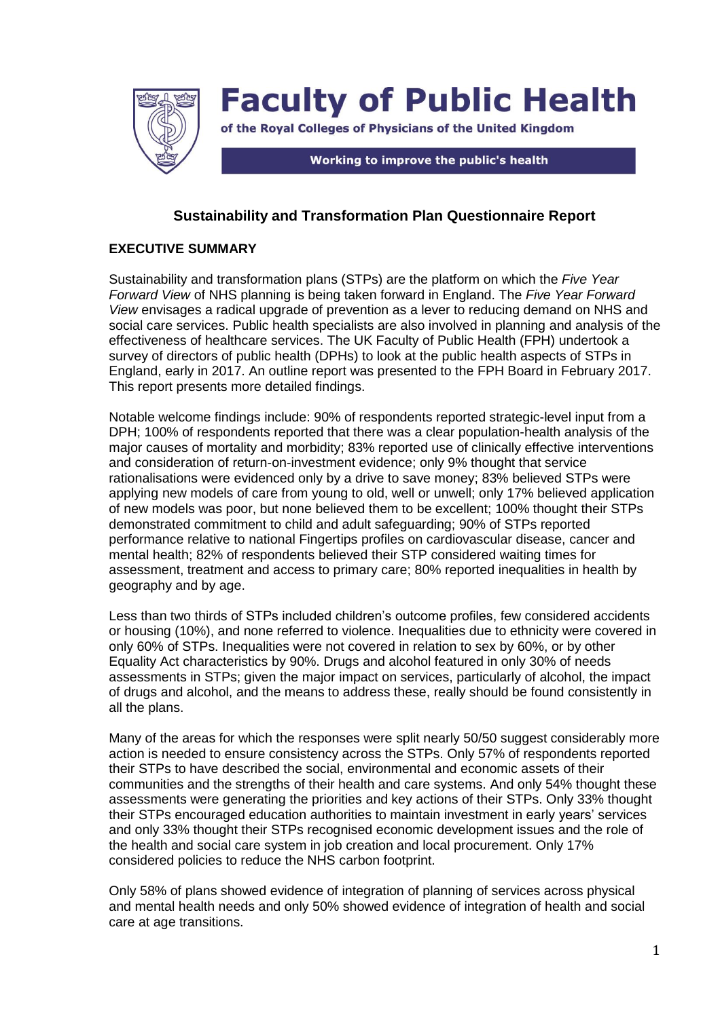

# **Faculty of Public Health**

of the Royal Colleges of Physicians of the United Kingdom

Working to improve the public's health

### **Sustainability and Transformation Plan Questionnaire Report**

#### **EXECUTIVE SUMMARY**

Sustainability and transformation plans (STPs) are the platform on which the *Five Year Forward View* of NHS planning is being taken forward in England. The *Five Year Forward View* envisages a radical upgrade of prevention as a lever to reducing demand on NHS and social care services. Public health specialists are also involved in planning and analysis of the effectiveness of healthcare services. The UK Faculty of Public Health (FPH) undertook a survey of directors of public health (DPHs) to look at the public health aspects of STPs in England, early in 2017. An outline report was presented to the FPH Board in February 2017. This report presents more detailed findings.

Notable welcome findings include: 90% of respondents reported strategic-level input from a DPH; 100% of respondents reported that there was a clear population-health analysis of the major causes of mortality and morbidity; 83% reported use of clinically effective interventions and consideration of return-on-investment evidence; only 9% thought that service rationalisations were evidenced only by a drive to save money; 83% believed STPs were applying new models of care from young to old, well or unwell; only 17% believed application of new models was poor, but none believed them to be excellent; 100% thought their STPs demonstrated commitment to child and adult safeguarding; 90% of STPs reported performance relative to national Fingertips profiles on cardiovascular disease, cancer and mental health; 82% of respondents believed their STP considered waiting times for assessment, treatment and access to primary care; 80% reported inequalities in health by geography and by age.

Less than two thirds of STPs included children's outcome profiles, few considered accidents or housing (10%), and none referred to violence. Inequalities due to ethnicity were covered in only 60% of STPs. Inequalities were not covered in relation to sex by 60%, or by other Equality Act characteristics by 90%. Drugs and alcohol featured in only 30% of needs assessments in STPs; given the major impact on services, particularly of alcohol, the impact of drugs and alcohol, and the means to address these, really should be found consistently in all the plans.

Many of the areas for which the responses were split nearly 50/50 suggest considerably more action is needed to ensure consistency across the STPs. Only 57% of respondents reported their STPs to have described the social, environmental and economic assets of their communities and the strengths of their health and care systems. And only 54% thought these assessments were generating the priorities and key actions of their STPs. Only 33% thought their STPs encouraged education authorities to maintain investment in early years' services and only 33% thought their STPs recognised economic development issues and the role of the health and social care system in job creation and local procurement. Only 17% considered policies to reduce the NHS carbon footprint.

Only 58% of plans showed evidence of integration of planning of services across physical and mental health needs and only 50% showed evidence of integration of health and social care at age transitions.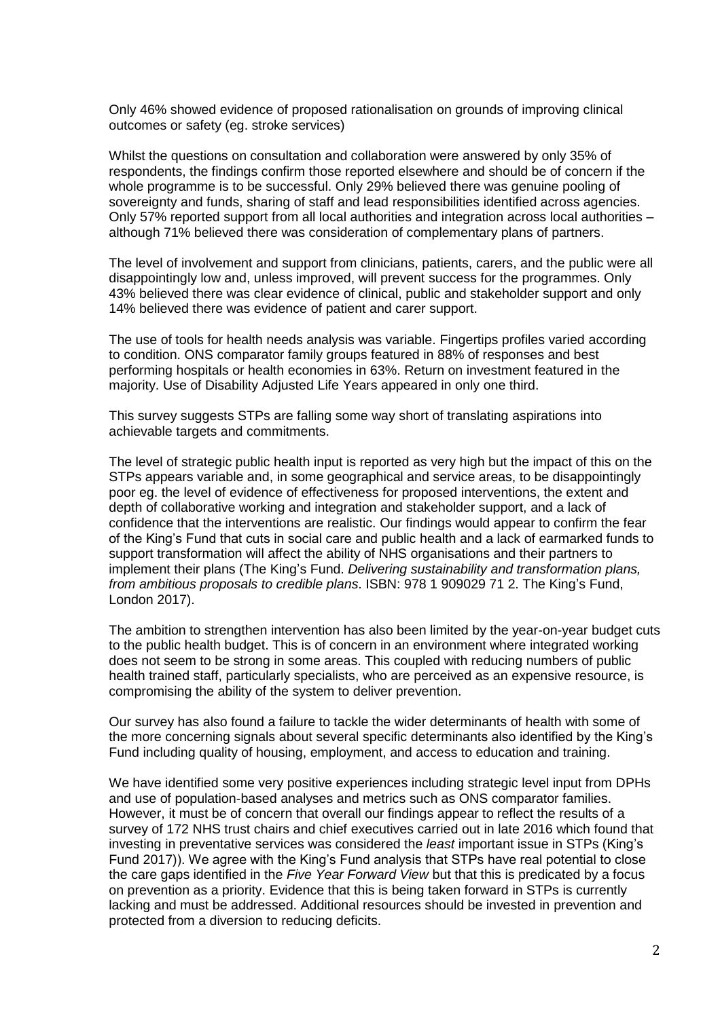Only 46% showed evidence of proposed rationalisation on grounds of improving clinical outcomes or safety (eg. stroke services)

Whilst the questions on consultation and collaboration were answered by only 35% of respondents, the findings confirm those reported elsewhere and should be of concern if the whole programme is to be successful. Only 29% believed there was genuine pooling of sovereignty and funds, sharing of staff and lead responsibilities identified across agencies. Only 57% reported support from all local authorities and integration across local authorities – although 71% believed there was consideration of complementary plans of partners.

The level of involvement and support from clinicians, patients, carers, and the public were all disappointingly low and, unless improved, will prevent success for the programmes. Only 43% believed there was clear evidence of clinical, public and stakeholder support and only 14% believed there was evidence of patient and carer support.

The use of tools for health needs analysis was variable. Fingertips profiles varied according to condition. ONS comparator family groups featured in 88% of responses and best performing hospitals or health economies in 63%. Return on investment featured in the majority. Use of Disability Adjusted Life Years appeared in only one third.

This survey suggests STPs are falling some way short of translating aspirations into achievable targets and commitments.

The level of strategic public health input is reported as very high but the impact of this on the STPs appears variable and, in some geographical and service areas, to be disappointingly poor eg. the level of evidence of effectiveness for proposed interventions, the extent and depth of collaborative working and integration and stakeholder support, and a lack of confidence that the interventions are realistic. Our findings would appear to confirm the fear of the King's Fund that cuts in social care and public health and a lack of earmarked funds to support transformation will affect the ability of NHS organisations and their partners to implement their plans (The King's Fund. *Delivering sustainability and transformation plans, from ambitious proposals to credible plans*. ISBN: 978 1 909029 71 2. The King's Fund, London 2017).

The ambition to strengthen intervention has also been limited by the year-on-year budget cuts to the public health budget. This is of concern in an environment where integrated working does not seem to be strong in some areas. This coupled with reducing numbers of public health trained staff, particularly specialists, who are perceived as an expensive resource, is compromising the ability of the system to deliver prevention.

Our survey has also found a failure to tackle the wider determinants of health with some of the more concerning signals about several specific determinants also identified by the King's Fund including quality of housing, employment, and access to education and training.

We have identified some very positive experiences including strategic level input from DPHs and use of population-based analyses and metrics such as ONS comparator families. However, it must be of concern that overall our findings appear to reflect the results of a survey of 172 NHS trust chairs and chief executives carried out in late 2016 which found that investing in preventative services was considered the *least* important issue in STPs (King's Fund 2017)). We agree with the King's Fund analysis that STPs have real potential to close the care gaps identified in the *Five Year Forward View* but that this is predicated by a focus on prevention as a priority. Evidence that this is being taken forward in STPs is currently lacking and must be addressed. Additional resources should be invested in prevention and protected from a diversion to reducing deficits.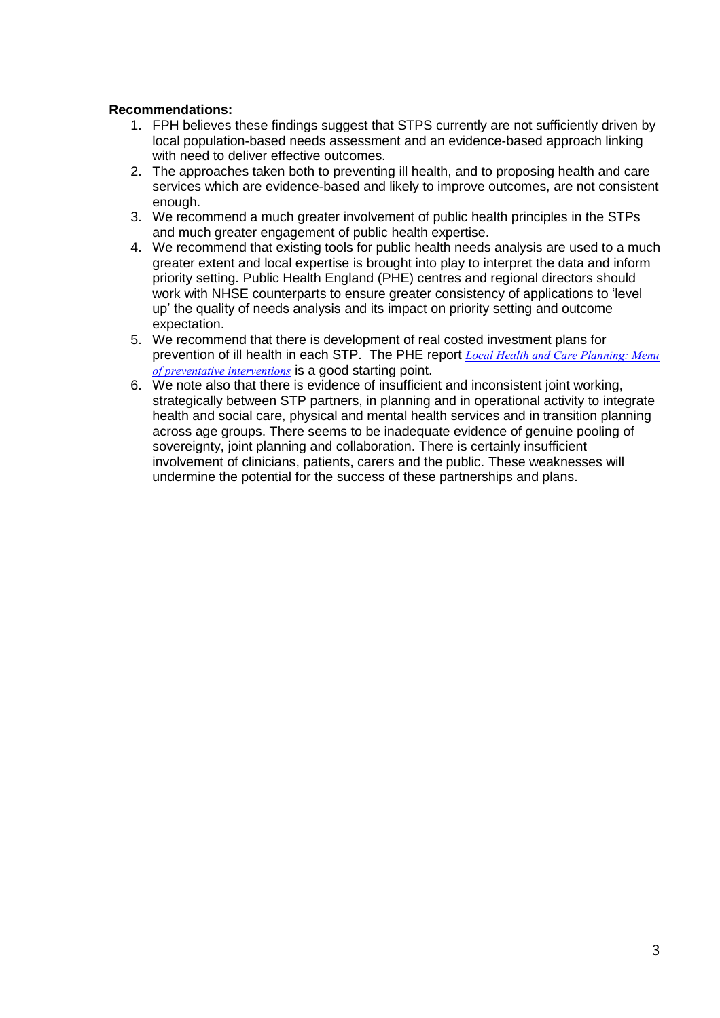#### **Recommendations:**

- 1. FPH believes these findings suggest that STPS currently are not sufficiently driven by local population-based needs assessment and an evidence-based approach linking with need to deliver effective outcomes.
- 2. The approaches taken both to preventing ill health, and to proposing health and care services which are evidence-based and likely to improve outcomes, are not consistent enough.
- 3. We recommend a much greater involvement of public health principles in the STPs and much greater engagement of public health expertise.
- 4. We recommend that existing tools for public health needs analysis are used to a much greater extent and local expertise is brought into play to interpret the data and inform priority setting. Public Health England (PHE) centres and regional directors should work with NHSE counterparts to ensure greater consistency of applications to 'level up' the quality of needs analysis and its impact on priority setting and outcome expectation.
- 5. We recommend that there is development of real costed investment plans for prevention of ill health in each STP. The PHE report *[Local Health and Care Planning: Menu](https://www.gov.uk/government/uploads/system/uploads/attachment_data/file/565944/Local_health_and_care_planning_menu_of_preventative_interventions.pdf)  [of preventative interventions](https://www.gov.uk/government/uploads/system/uploads/attachment_data/file/565944/Local_health_and_care_planning_menu_of_preventative_interventions.pdf)* is a good starting point.
- 6. We note also that there is evidence of insufficient and inconsistent joint working, strategically between STP partners, in planning and in operational activity to integrate health and social care, physical and mental health services and in transition planning across age groups. There seems to be inadequate evidence of genuine pooling of sovereignty, joint planning and collaboration. There is certainly insufficient involvement of clinicians, patients, carers and the public. These weaknesses will undermine the potential for the success of these partnerships and plans.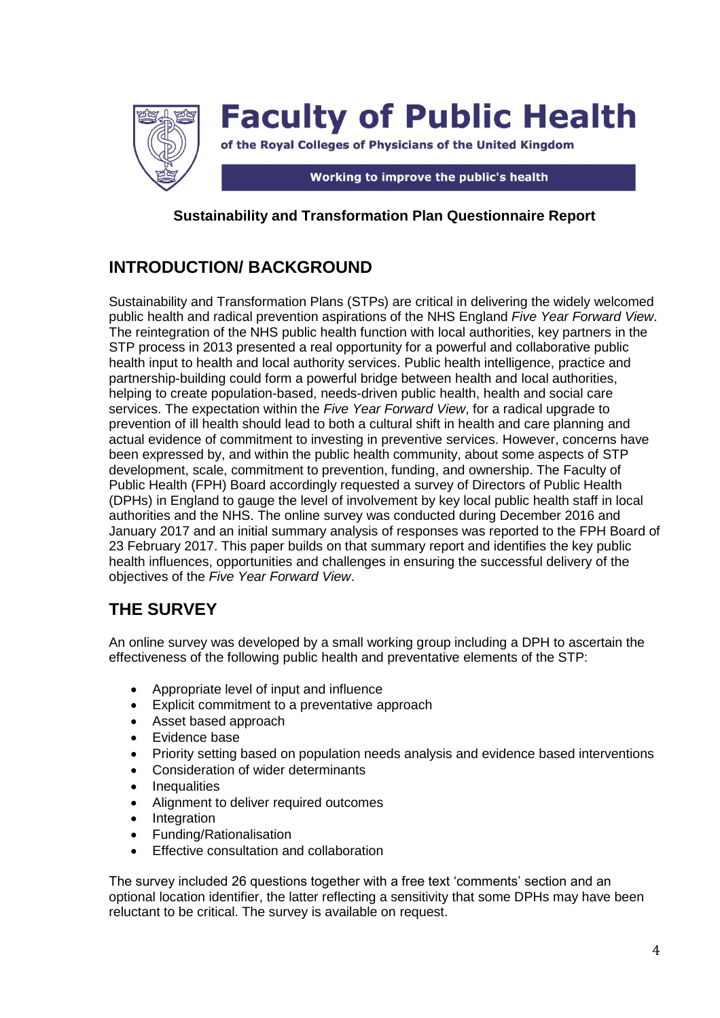

# **Faculty of Public Health**

of the Royal Colleges of Physicians of the United Kingdom

#### Working to improve the public's health

### **Sustainability and Transformation Plan Questionnaire Report**

# **INTRODUCTION/ BACKGROUND**

Sustainability and Transformation Plans (STPs) are critical in delivering the widely welcomed public health and radical prevention aspirations of the NHS England *Five Year Forward View*. The reintegration of the NHS public health function with local authorities, key partners in the STP process in 2013 presented a real opportunity for a powerful and collaborative public health input to health and local authority services. Public health intelligence, practice and partnership-building could form a powerful bridge between health and local authorities, helping to create population-based, needs-driven public health, health and social care services. The expectation within the *Five Year Forward View*, for a radical upgrade to prevention of ill health should lead to both a cultural shift in health and care planning and actual evidence of commitment to investing in preventive services. However, concerns have been expressed by, and within the public health community, about some aspects of STP development, scale, commitment to prevention, funding, and ownership. The Faculty of Public Health (FPH) Board accordingly requested a survey of Directors of Public Health (DPHs) in England to gauge the level of involvement by key local public health staff in local authorities and the NHS. The online survey was conducted during December 2016 and January 2017 and an initial summary analysis of responses was reported to the FPH Board of 23 February 2017. This paper builds on that summary report and identifies the key public health influences, opportunities and challenges in ensuring the successful delivery of the objectives of the *Five Year Forward View*.

## **THE SURVEY**

An online survey was developed by a small working group including a DPH to ascertain the effectiveness of the following public health and preventative elements of the STP:

- Appropriate level of input and influence
- Explicit commitment to a preventative approach
- Asset based approach
- Evidence base
- Priority setting based on population needs analysis and evidence based interventions
- Consideration of wider determinants
- **Inequalities**
- Alignment to deliver required outcomes
- Integration
- Funding/Rationalisation
- Effective consultation and collaboration

The survey included 26 questions together with a free text 'comments' section and an optional location identifier, the latter reflecting a sensitivity that some DPHs may have been reluctant to be critical. The survey is available on request.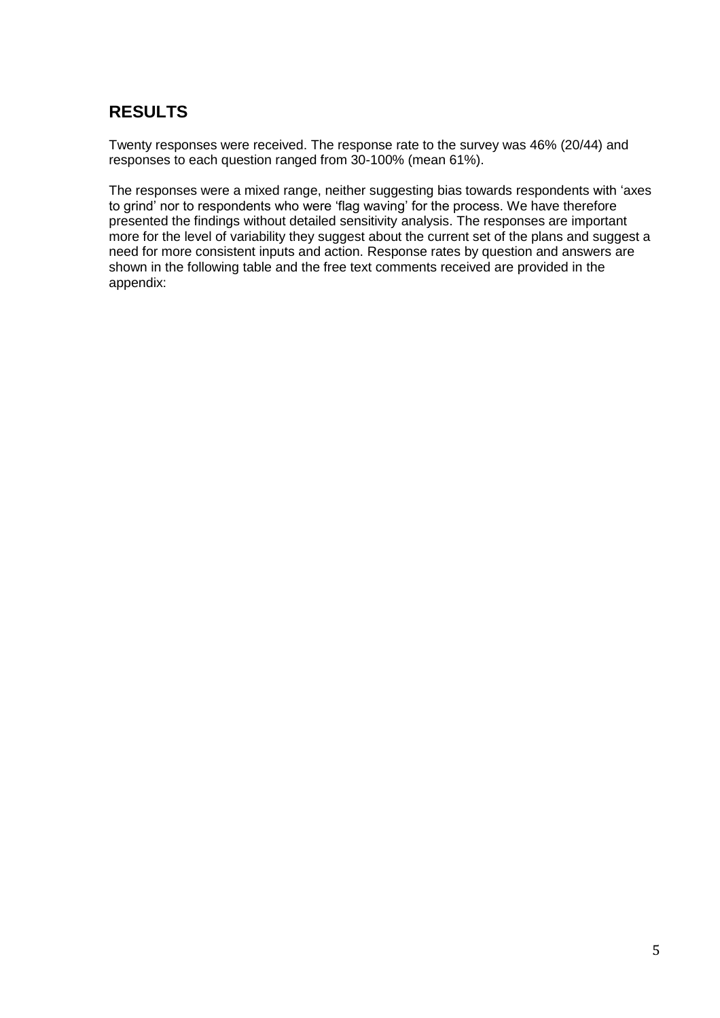## **RESULTS**

Twenty responses were received. The response rate to the survey was 46% (20/44) and responses to each question ranged from 30-100% (mean 61%).

The responses were a mixed range, neither suggesting bias towards respondents with 'axes to grind' nor to respondents who were 'flag waving' for the process. We have therefore presented the findings without detailed sensitivity analysis. The responses are important more for the level of variability they suggest about the current set of the plans and suggest a need for more consistent inputs and action. Response rates by question and answers are shown in the following table and the free text comments received are provided in the appendix: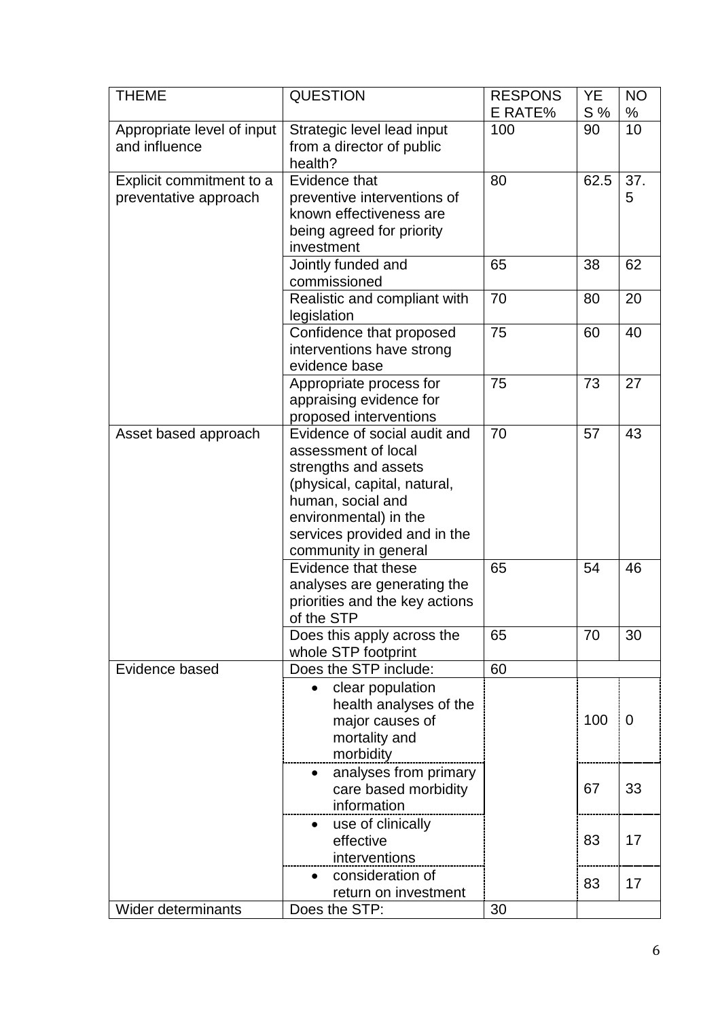| <b>THEME</b>               | <b>QUESTION</b>                                   | <b>RESPONS</b> | YΕ   | <b>NO</b> |
|----------------------------|---------------------------------------------------|----------------|------|-----------|
|                            |                                                   | E RATE%        | S%   | %         |
| Appropriate level of input | Strategic level lead input                        | 100            | 90   | 10        |
| and influence              | from a director of public                         |                |      |           |
|                            | health?                                           |                |      |           |
| Explicit commitment to a   | Evidence that                                     | 80             | 62.5 | 37.       |
| preventative approach      | preventive interventions of                       |                |      | 5         |
|                            | known effectiveness are                           |                |      |           |
|                            | being agreed for priority                         |                |      |           |
|                            | investment                                        |                |      |           |
|                            | Jointly funded and                                | 65             | 38   | 62        |
|                            | commissioned                                      |                |      |           |
|                            | Realistic and compliant with<br>legislation       | 70             | 80   | 20        |
|                            | Confidence that proposed                          | 75             | 60   | 40        |
|                            | interventions have strong                         |                |      |           |
|                            | evidence base                                     |                |      |           |
|                            | Appropriate process for                           | 75             | 73   | 27        |
|                            | appraising evidence for                           |                |      |           |
|                            | proposed interventions                            |                |      |           |
| Asset based approach       | Evidence of social audit and                      | 70             | 57   | 43        |
|                            | assessment of local                               |                |      |           |
|                            | strengths and assets                              |                |      |           |
|                            | (physical, capital, natural,                      |                |      |           |
|                            | human, social and                                 |                |      |           |
|                            | environmental) in the                             |                |      |           |
|                            | services provided and in the                      |                |      |           |
|                            | community in general                              |                |      |           |
|                            | Evidence that these                               | 65             | 54   | 46        |
|                            | analyses are generating the                       |                |      |           |
|                            | priorities and the key actions                    |                |      |           |
|                            | of the STP                                        |                |      |           |
|                            | Does this apply across the<br>whole STP footprint | 65             | 70   | 30        |
| Evidence based             | Does the STP include:                             | 60             |      |           |
|                            | clear population                                  |                |      |           |
|                            | health analyses of the                            |                |      |           |
|                            | major causes of                                   |                | 100  | 0         |
|                            | mortality and                                     |                |      |           |
|                            | morbidity                                         |                |      |           |
|                            | analyses from primary                             |                |      |           |
|                            | care based morbidity                              |                | 67   | 33        |
|                            | information                                       |                |      |           |
|                            | use of clinically<br>$\bullet$                    |                |      |           |
|                            | effective                                         |                | 83   | 17        |
|                            | interventions                                     |                |      |           |
|                            | consideration of                                  |                |      |           |
|                            | return on investment                              |                | 83   | 17        |
| Wider determinants         | Does the STP:                                     | 30             |      |           |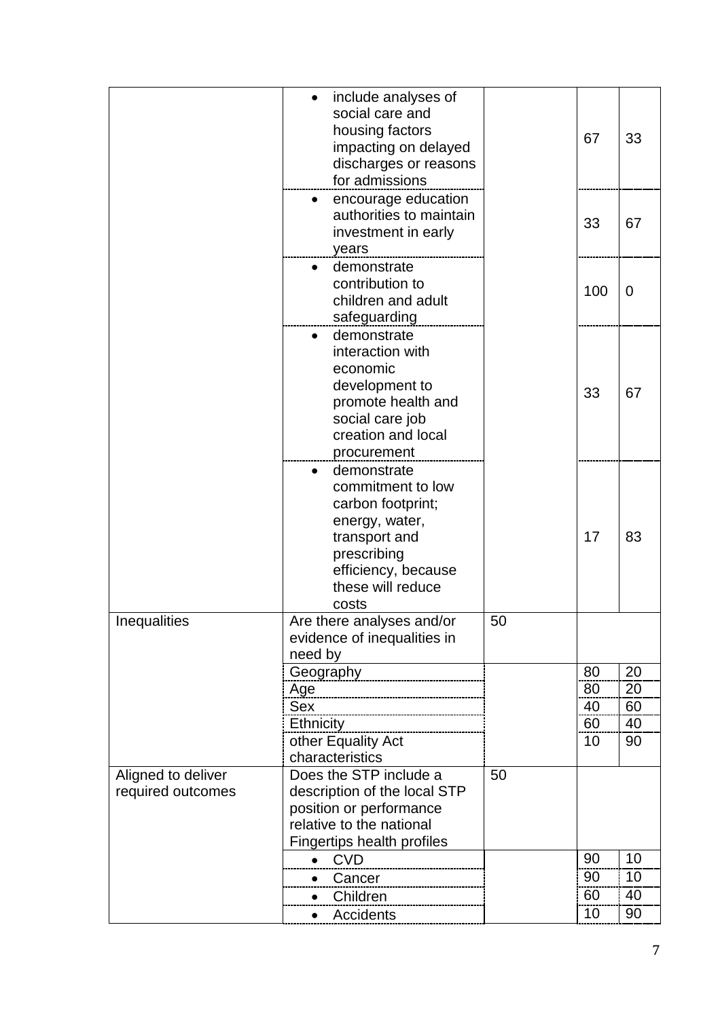|                                         | include analyses of<br>$\bullet$<br>social care and<br>housing factors<br>impacting on delayed<br>discharges or reasons<br>for admissions                    |    | 67                         | 33                         |
|-----------------------------------------|--------------------------------------------------------------------------------------------------------------------------------------------------------------|----|----------------------------|----------------------------|
|                                         | encourage education<br>authorities to maintain<br>investment in early<br>years                                                                               |    | 33                         | 67                         |
|                                         | demonstrate<br>$\bullet$<br>contribution to<br>children and adult<br>safeguarding                                                                            |    | 100                        | $\mathbf 0$                |
|                                         | demonstrate<br>$\bullet$<br>interaction with<br>economic<br>development to<br>promote health and<br>social care job<br>creation and local<br>procurement     |    | 33                         | 67                         |
|                                         | demonstrate<br>commitment to low<br>carbon footprint;<br>energy, water,<br>transport and<br>prescribing<br>efficiency, because<br>these will reduce<br>costs |    | 17                         | 83                         |
| Inequalities                            | Are there analyses and/or<br>evidence of inequalities in<br>need by                                                                                          | 50 |                            |                            |
|                                         | Age<br>Sex<br>Ethnicity<br>other Equality Act<br>characteristics                                                                                             |    | 80<br>80<br>40<br>60<br>10 | 20<br>20<br>60<br>40<br>90 |
| Aligned to deliver<br>required outcomes | Does the STP include a<br>description of the local STP<br>position or performance<br>relative to the national<br><b>Fingertips health profiles</b>           | 50 |                            |                            |
|                                         | <b>CVD</b><br>$\bullet$<br>Cancer<br>$\bullet$                                                                                                               |    | 90<br>90                   | 10<br>10                   |
|                                         | Children<br>$\bullet$                                                                                                                                        |    | 60                         | 40                         |
|                                         | Accidents<br>$\bullet$                                                                                                                                       |    | 10                         | 90                         |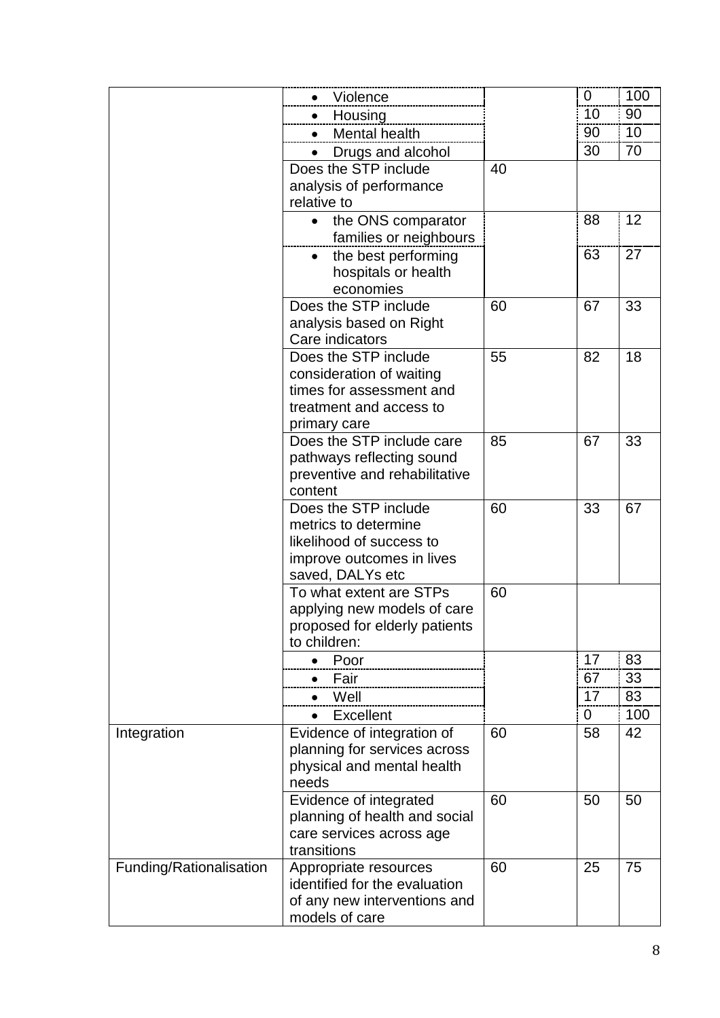|                         | Violence                        |    | 0           | 100 |
|-------------------------|---------------------------------|----|-------------|-----|
|                         | Housing<br>$\bullet$            |    | 10          | 90  |
|                         | Mental health<br>$\bullet$      |    | 90          | 10  |
|                         | Drugs and alcohol               |    | 30          | 70  |
|                         | Does the STP include            | 40 |             |     |
|                         | analysis of performance         |    |             |     |
|                         | relative to                     |    |             |     |
|                         | the ONS comparator<br>$\bullet$ |    | 88          | 12  |
|                         | families or neighbours          |    |             |     |
|                         | the best performing             |    | 63          | 27  |
|                         | hospitals or health             |    |             |     |
|                         | economies                       |    |             |     |
|                         | Does the STP include            | 60 | 67          | 33  |
|                         | analysis based on Right         |    |             |     |
|                         | Care indicators                 |    |             |     |
|                         | Does the STP include            | 55 | 82          | 18  |
|                         | consideration of waiting        |    |             |     |
|                         | times for assessment and        |    |             |     |
|                         | treatment and access to         |    |             |     |
|                         | primary care                    |    |             |     |
|                         | Does the STP include care       | 85 | 67          | 33  |
|                         | pathways reflecting sound       |    |             |     |
|                         | preventive and rehabilitative   |    |             |     |
|                         | content                         |    |             |     |
|                         | Does the STP include            | 60 | 33          | 67  |
|                         | metrics to determine            |    |             |     |
|                         | likelihood of success to        |    |             |     |
|                         | improve outcomes in lives       |    |             |     |
|                         | saved, DALYs etc                |    |             |     |
|                         | To what extent are STPs         | 60 |             |     |
|                         | applying new models of care     |    |             |     |
|                         | proposed for elderly patients   |    |             |     |
|                         | to children:                    |    |             |     |
|                         | Poor                            |    | 17          | 83  |
|                         | Fair<br>$\bullet$               |    | 67          | 33  |
|                         | Well<br>$\bullet$               |    | 17          | 83  |
|                         | Excellent                       |    | $\mathbf 0$ | 100 |
| Integration             | Evidence of integration of      | 60 | 58          | 42  |
|                         | planning for services across    |    |             |     |
|                         | physical and mental health      |    |             |     |
|                         | needs                           |    |             |     |
|                         | Evidence of integrated          | 60 | 50          | 50  |
|                         | planning of health and social   |    |             |     |
|                         | care services across age        |    |             |     |
|                         | transitions                     |    |             |     |
| Funding/Rationalisation | Appropriate resources           | 60 | 25          | 75  |
|                         | identified for the evaluation   |    |             |     |
|                         | of any new interventions and    |    |             |     |
|                         | models of care                  |    |             |     |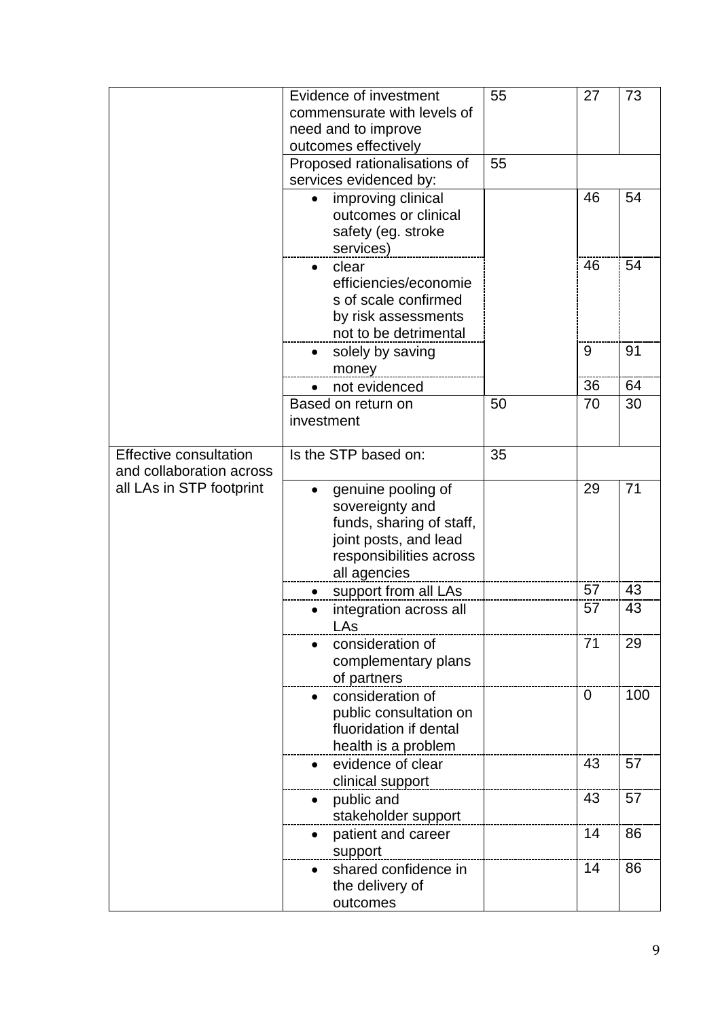|                                                                                       | Evidence of investment<br>commensurate with levels of<br>need and to improve<br>outcomes effectively                                  | 55 | 27             | 73  |
|---------------------------------------------------------------------------------------|---------------------------------------------------------------------------------------------------------------------------------------|----|----------------|-----|
|                                                                                       | Proposed rationalisations of<br>services evidenced by:                                                                                | 55 |                |     |
|                                                                                       | improving clinical<br>outcomes or clinical<br>safety (eg. stroke<br>services)                                                         |    | 46             | 54  |
|                                                                                       | clear<br>efficiencies/economie<br>s of scale confirmed<br>by risk assessments<br>not to be detrimental                                |    | 46             | 54  |
|                                                                                       | solely by saving<br>money                                                                                                             |    | 9              | 91  |
|                                                                                       | not evidenced                                                                                                                         |    | 36             | 64  |
|                                                                                       | Based on return on<br>investment                                                                                                      | 50 | 70             | 30  |
| <b>Effective consultation</b><br>and collaboration across<br>all LAs in STP footprint | Is the STP based on:                                                                                                                  | 35 |                |     |
|                                                                                       | genuine pooling of<br>sovereignty and<br>funds, sharing of staff,<br>joint posts, and lead<br>responsibilities across<br>all agencies |    | 29             | 71  |
|                                                                                       | support from all LAs                                                                                                                  |    | 57             | 43  |
|                                                                                       | integration across all<br>l As                                                                                                        |    | 57             | 43  |
|                                                                                       | consideration of<br>complementary plans<br>of partners                                                                                |    | 71             | 29  |
|                                                                                       | consideration of<br>public consultation on<br>fluoridation if dental<br>health is a problem                                           |    | $\overline{0}$ | 100 |
|                                                                                       | evidence of clear<br>$\bullet$<br>clinical support                                                                                    |    | 43             | 57  |
|                                                                                       | public and<br>stakeholder support                                                                                                     |    | 43             | 57  |
|                                                                                       | patient and career<br>support                                                                                                         |    | 14             | 86  |
|                                                                                       | shared confidence in<br>the delivery of<br>outcomes                                                                                   |    | 14             | 86  |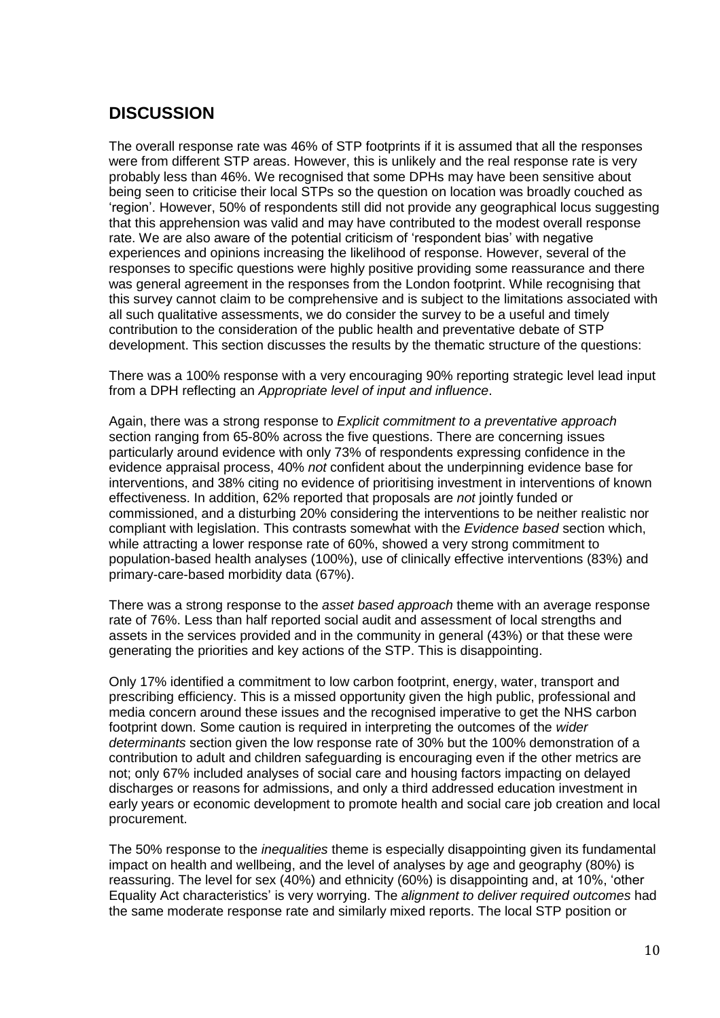## **DISCUSSION**

The overall response rate was 46% of STP footprints if it is assumed that all the responses were from different STP areas. However, this is unlikely and the real response rate is very probably less than 46%. We recognised that some DPHs may have been sensitive about being seen to criticise their local STPs so the question on location was broadly couched as 'region'. However, 50% of respondents still did not provide any geographical locus suggesting that this apprehension was valid and may have contributed to the modest overall response rate. We are also aware of the potential criticism of 'respondent bias' with negative experiences and opinions increasing the likelihood of response. However, several of the responses to specific questions were highly positive providing some reassurance and there was general agreement in the responses from the London footprint. While recognising that this survey cannot claim to be comprehensive and is subject to the limitations associated with all such qualitative assessments, we do consider the survey to be a useful and timely contribution to the consideration of the public health and preventative debate of STP development. This section discusses the results by the thematic structure of the questions:

There was a 100% response with a very encouraging 90% reporting strategic level lead input from a DPH reflecting an *Appropriate level of input and influence*.

Again, there was a strong response to *Explicit commitment to a preventative approach* section ranging from 65-80% across the five questions. There are concerning issues particularly around evidence with only 73% of respondents expressing confidence in the evidence appraisal process, 40% *not* confident about the underpinning evidence base for interventions, and 38% citing no evidence of prioritising investment in interventions of known effectiveness. In addition, 62% reported that proposals are *not* jointly funded or commissioned, and a disturbing 20% considering the interventions to be neither realistic nor compliant with legislation. This contrasts somewhat with the *Evidence based* section which, while attracting a lower response rate of 60%, showed a very strong commitment to population-based health analyses (100%), use of clinically effective interventions (83%) and primary-care-based morbidity data (67%).

There was a strong response to the *asset based approach* theme with an average response rate of 76%. Less than half reported social audit and assessment of local strengths and assets in the services provided and in the community in general (43%) or that these were generating the priorities and key actions of the STP. This is disappointing.

Only 17% identified a commitment to low carbon footprint, energy, water, transport and prescribing efficiency. This is a missed opportunity given the high public, professional and media concern around these issues and the recognised imperative to get the NHS carbon footprint down. Some caution is required in interpreting the outcomes of the *wider determinants* section given the low response rate of 30% but the 100% demonstration of a contribution to adult and children safeguarding is encouraging even if the other metrics are not; only 67% included analyses of social care and housing factors impacting on delayed discharges or reasons for admissions, and only a third addressed education investment in early years or economic development to promote health and social care job creation and local procurement.

The 50% response to the *inequalities* theme is especially disappointing given its fundamental impact on health and wellbeing, and the level of analyses by age and geography (80%) is reassuring. The level for sex (40%) and ethnicity (60%) is disappointing and, at 10%, 'other Equality Act characteristics' is very worrying. The *alignment to deliver required outcomes* had the same moderate response rate and similarly mixed reports. The local STP position or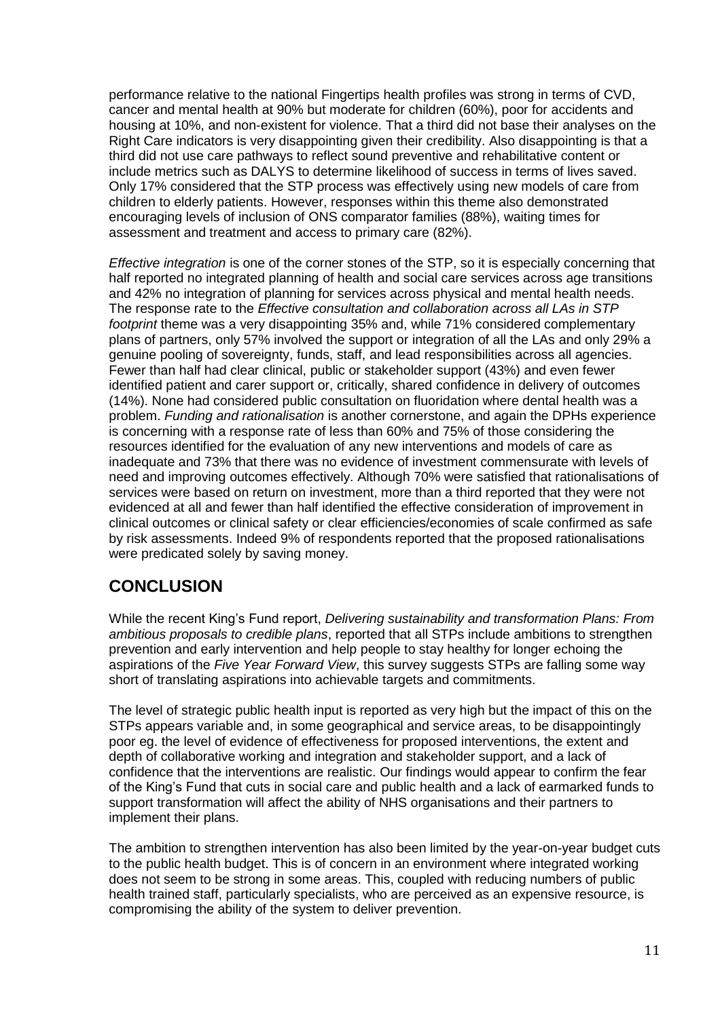performance relative to the national Fingertips health profiles was strong in terms of CVD, cancer and mental health at 90% but moderate for children (60%), poor for accidents and housing at 10%, and non-existent for violence. That a third did not base their analyses on the Right Care indicators is very disappointing given their credibility. Also disappointing is that a third did not use care pathways to reflect sound preventive and rehabilitative content or include metrics such as DALYS to determine likelihood of success in terms of lives saved. Only 17% considered that the STP process was effectively using new models of care from children to elderly patients. However, responses within this theme also demonstrated encouraging levels of inclusion of ONS comparator families (88%), waiting times for assessment and treatment and access to primary care (82%).

*Effective integration* is one of the corner stones of the STP, so it is especially concerning that half reported no integrated planning of health and social care services across age transitions and 42% no integration of planning for services across physical and mental health needs. The response rate to the *Effective consultation and collaboration across all LAs in STP footprint* theme was a very disappointing 35% and, while 71% considered complementary plans of partners, only 57% involved the support or integration of all the LAs and only 29% a genuine pooling of sovereignty, funds, staff, and lead responsibilities across all agencies. Fewer than half had clear clinical, public or stakeholder support (43%) and even fewer identified patient and carer support or, critically, shared confidence in delivery of outcomes (14%). None had considered public consultation on fluoridation where dental health was a problem. *Funding and rationalisation* is another cornerstone, and again the DPHs experience is concerning with a response rate of less than 60% and 75% of those considering the resources identified for the evaluation of any new interventions and models of care as inadequate and 73% that there was no evidence of investment commensurate with levels of need and improving outcomes effectively. Although 70% were satisfied that rationalisations of services were based on return on investment, more than a third reported that they were not evidenced at all and fewer than half identified the effective consideration of improvement in clinical outcomes or clinical safety or clear efficiencies/economies of scale confirmed as safe by risk assessments. Indeed 9% of respondents reported that the proposed rationalisations were predicated solely by saving money.

## **CONCLUSION**

While the recent King's Fund report, *Delivering sustainability and transformation Plans: From ambitious proposals to credible plans*, reported that all STPs include ambitions to strengthen prevention and early intervention and help people to stay healthy for longer echoing the aspirations of the *Five Year Forward View*, this survey suggests STPs are falling some way short of translating aspirations into achievable targets and commitments.

The level of strategic public health input is reported as very high but the impact of this on the STPs appears variable and, in some geographical and service areas, to be disappointingly poor eg. the level of evidence of effectiveness for proposed interventions, the extent and depth of collaborative working and integration and stakeholder support, and a lack of confidence that the interventions are realistic. Our findings would appear to confirm the fear of the King's Fund that cuts in social care and public health and a lack of earmarked funds to support transformation will affect the ability of NHS organisations and their partners to implement their plans.

The ambition to strengthen intervention has also been limited by the year-on-year budget cuts to the public health budget. This is of concern in an environment where integrated working does not seem to be strong in some areas. This, coupled with reducing numbers of public health trained staff, particularly specialists, who are perceived as an expensive resource, is compromising the ability of the system to deliver prevention.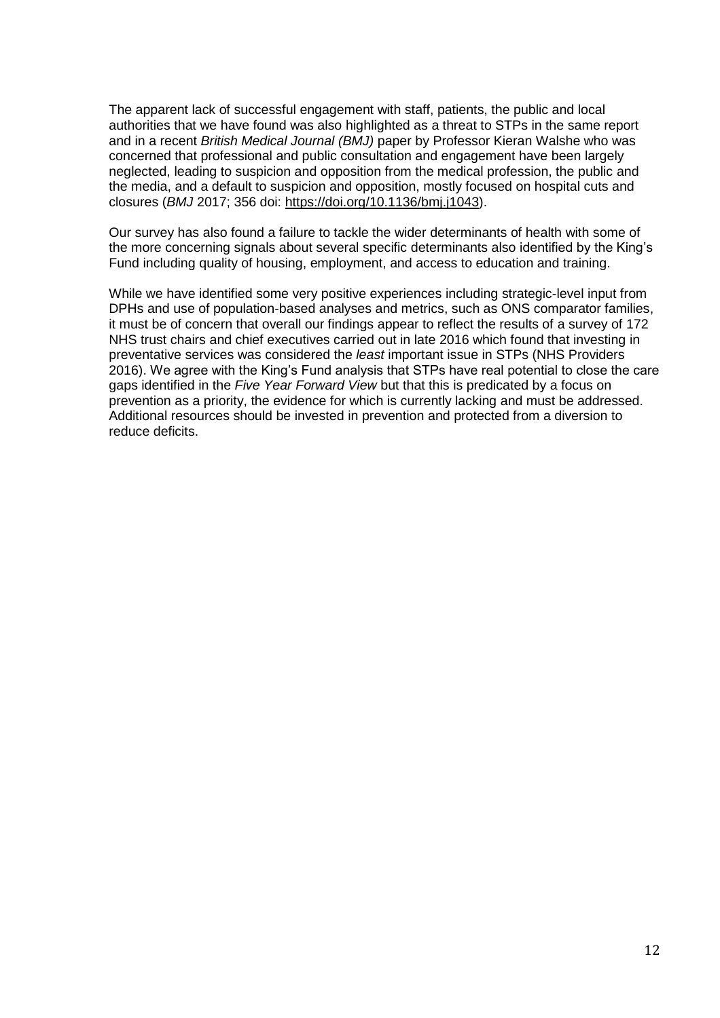The apparent lack of successful engagement with staff, patients, the public and local authorities that we have found was also highlighted as a threat to STPs in the same report and in a recent *British Medical Journal (BMJ)* paper by Professor Kieran Walshe who was concerned that professional and public consultation and engagement have been largely neglected, leading to suspicion and opposition from the medical profession, the public and the media, and a default to suspicion and opposition, mostly focused on hospital cuts and closures (*BMJ* 2017; 356 doi: [https://doi.org/10.1136/bmj.j1043\)](https://doi.org/10.1136/bmj.j1043).

Our survey has also found a failure to tackle the wider determinants of health with some of the more concerning signals about several specific determinants also identified by the King's Fund including quality of housing, employment, and access to education and training.

While we have identified some very positive experiences including strategic-level input from DPHs and use of population-based analyses and metrics, such as ONS comparator families, it must be of concern that overall our findings appear to reflect the results of a survey of 172 NHS trust chairs and chief executives carried out in late 2016 which found that investing in preventative services was considered the *least* important issue in STPs (NHS Providers 2016). We agree with the King's Fund analysis that STPs have real potential to close the care gaps identified in the *Five Year Forward View* but that this is predicated by a focus on prevention as a priority, the evidence for which is currently lacking and must be addressed. Additional resources should be invested in prevention and protected from a diversion to reduce deficits.